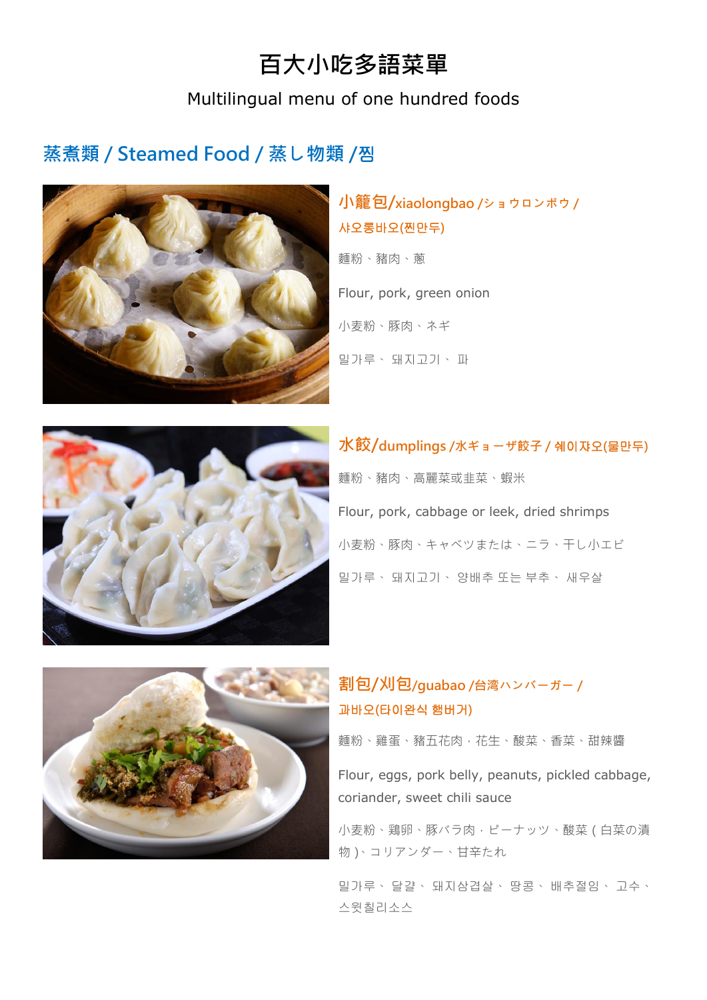# 百大小吃多語菜單

#### Multilingual menu of one hundred foods

# 蒸煮類 / Steamed Food / 蒸し物類 /찜



## 小籠包/xiaolongbao /ショウロンポウ / 샤오롱바오(찐만두)

麵粉、豬肉、蔥 Flour, pork, green onion 小麦粉、豚肉、ネギ 밀가루、 돼지고기、 파



水餃/dumplings /水ギョーザ餃子 / 쉐이쟈오(물만두) 麵粉、豬肉、高麗菜或韭菜、蝦米 Flour, pork, cabbage or leek, dried shrimps 小麦粉、豚肉、キャベツまたは、ニラ、干し小エビ 밀가루、 돼지고기、 양배추 또는 부추、 새우살



# 割包/刈包/guabao /台湾ハンバーガー / 과바오(타이완식 햄버거)

麵粉、雞蛋、豬五花肉,花生、酸菜、香菜、甜辣醬

Flour, eggs, pork belly, peanuts, pickled cabbage, coriander, sweet chili sauce

小麦粉、鶏卵、豚バラ肉,ピーナッツ、酸菜(白菜の漬 物)、コリアンダー、甘辛たれ

밀가루、 달걀、 돼지삼겹살、 땅콩、 배추절임、 고수、 스윗칠리소스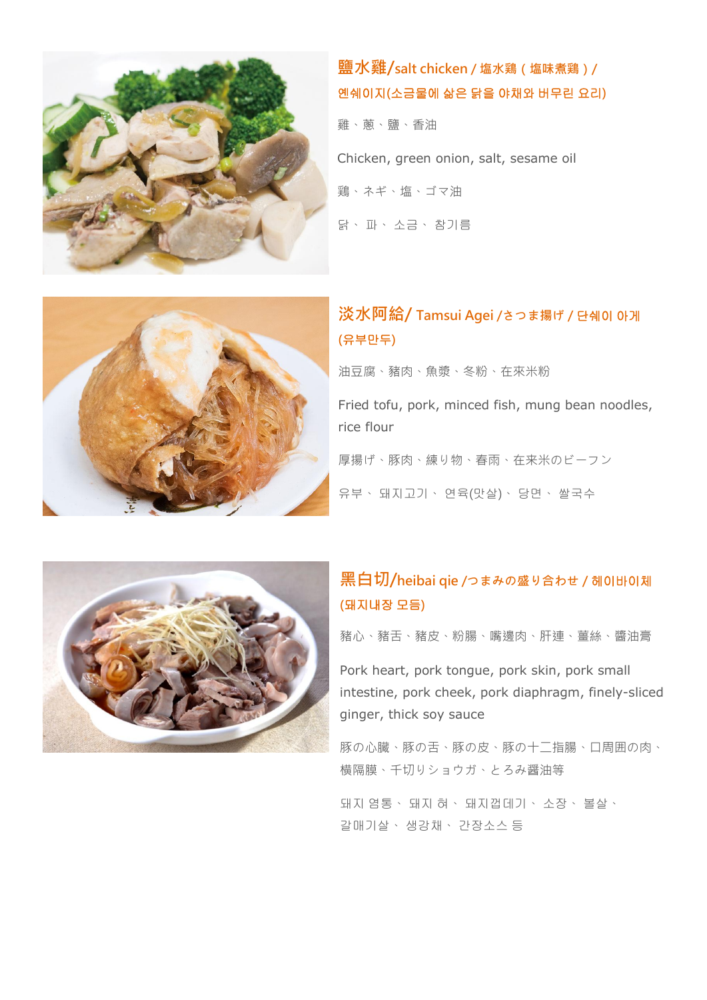

# 鹽水雞/salt chicken / 塩水鶏(塩味煮鶏)/ 옌쉐이지(소금물에 삶은 닭을 야채와 버무린 요리)

雞、蔥、鹽、香油 Chicken, green onion, salt, sesame oil 鶏、ネギ、塩、ゴマ油 닭、 파、 소금、 참기름



# 淡水阿給/ Tamsui Agei /さつま揚げ / 단쉐이 아게 (유부만두)

油豆腐、豬肉、魚漿、冬粉、在來米粉

Fried tofu, pork, minced fish, mung bean noodles, rice flour

厚揚げ、豚肉、練り物、春雨、在来米のビーフン

유부、 돼지고기、 연육(맛살)、 당면、 쌀국수



#### 黑白切/heibai qie /つまみの盛り合わせ / 헤이바이체 (돼지내장 모듬)

豬心、豬舌、豬皮、粉腸、嘴邊肉、肝連、薑絲、醬油膏

Pork heart, pork tongue, pork skin, pork small intestine, pork cheek, pork diaphragm, finely-sliced ginger, thick soy sauce

豚の心臓、豚の舌、豚の皮、豚の十二指腸、口周囲の肉、 横隔膜、千切りショウガ、とろみ醤油等

돼지 염통、 돼지 혀、 돼지껍데기、 소장、 볼살、 갈매기살、 생강채、 간장소스 등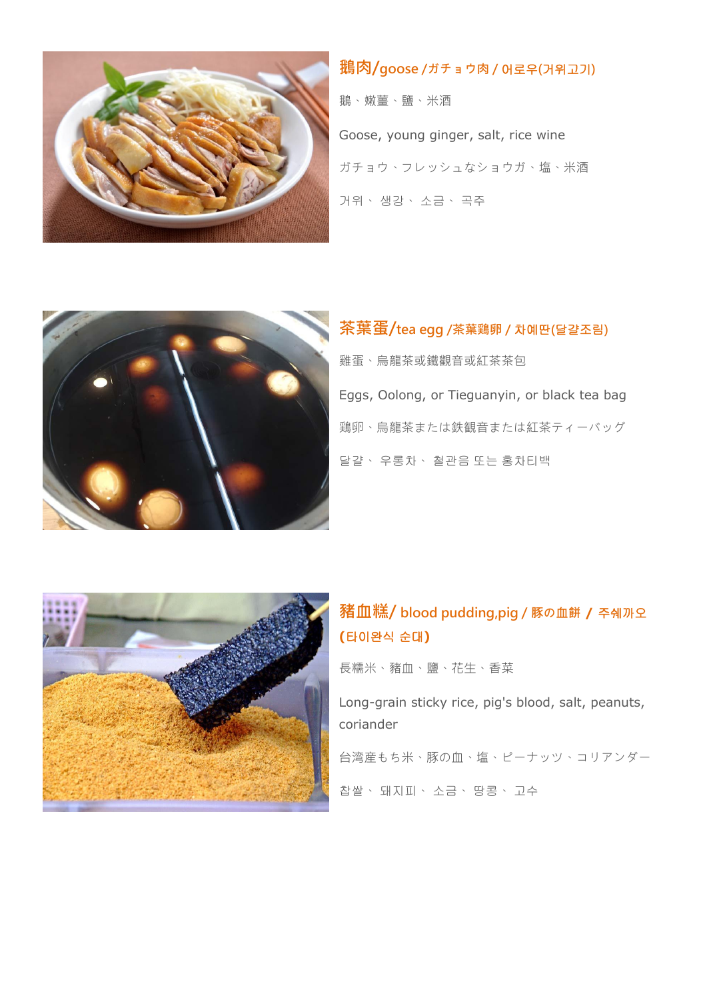

#### 鵝肉/goose /ガチョウ肉 / 어로우(거위고기)

鵝、嫩薑、鹽、米酒 Goose, young ginger, salt, rice wine ガチョウ、フレッシュなショウガ、塩、米酒 거위、 생강、 소금、 곡주



| 茶葉蛋/tea egg /茶葉鶏卵 / 차예딴(달걀조림)                 |
|-----------------------------------------------|
| 雞蛋、烏龍茶或鐵觀音或紅茶茶包                               |
| Eggs, Oolong, or Tieguanyin, or black tea bag |
| 鶏卵、烏龍茶または鉄観音または紅茶ティーバッグ                       |
| 달걀 · 우롱차 · 철관음 또는 홍차티백                        |



# 豬血糕/ blood pudding,pig / 豚の血餅 **/** 주쉐까오 **(**타이완식 순대**)**

長糯米、豬血、鹽、花生、香菜

Long-grain sticky rice, pig's blood, salt, peanuts, coriander

台湾産もち米、豚の血、塩、ピーナッツ、コリアンダー 찹쌀、 돼지피、 소금、 땅콩、 고수